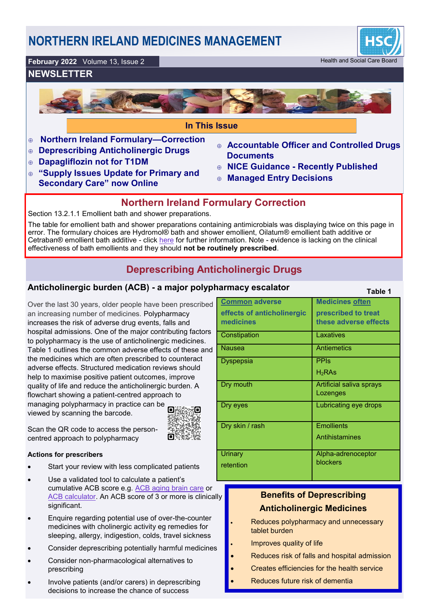# **NORTHERN IRELAND MEDICINES MANAGEMENT**



#### **February 2022** Volume 13, Issue 2 Health and Social Care Board

### **NEWSLETTER**



- **Northern Ireland Formulary—Correction**
- **Deprescribing Anticholinergic Drugs**
- **Dapagliflozin not for T1DM**
- **"Supply Issues Update for Primary and Secondary Care" now Online**
- **Accountable Officer and Controlled Drugs Documents**
- **NICE Guidance - Recently Published**
- **Managed Entry Decisions**

### **Northern Ireland Formulary Correction**

Section 13.2.1.1 Emollient bath and shower preparations.

The table for emollient bath and shower preparations containing antimicrobials was displaying twice on this page in error. The formulary choices are Hydromol® bath and shower emollient, Oilatum® emollient bath additive or Cetraban® emollient bath additive - click [here](https://niformulary.hscni.net/formulary/13-0-skin/13-2-emollients-and-barrier-preparations/13-2-1-emollients/13-2-1-1-emollient-bath-and-shower-preparations/) for further information. Note - evidence is lacking on the clinical effectiveness of bath emollients and they should **not be routinely prescribed**.

## **Deprescribing Anticholinergic Drugs**

### **Anticholinergic burden (ACB) - a major polyph**

#### Over the last 30 years, older people have been prescribed an increasing number of medicines. Polypharmacy increases the risk of adverse drug events, falls and hospital admissions. One of the major contributing factors to polypharmacy is the use of anticholinergic medicines. Table 1 outlines the common adverse effects of these and the medicines which are often prescribed to counteract adverse effects. Structured medication reviews should help to maximise positive patient outcomes, improve quality of life and reduce the anticholinergic burden. A flowchart showing a patient-centred approach to managing polypharmacy in practice can be viewed by scanning the barcode.

Scan the QR code to access the personcentred approach to polypharmacy

#### **Actions for prescribers**

- Start your review with less complicated patients
- Use a validated tool to calculate a patient's cumulative ACB score e.g. [ACB aging brain care](https://psnc.org.uk/lancashire-lpc/wp-content/uploads/sites/97/2014/02/Anticholinergic-burden-scale-2012.pdf) or [ACB calculator.](http://www.acbcalc.com/) An ACB score of 3 or more is clinically significant.
- Enquire regarding potential use of over-the-counter medicines with cholinergic activity eg remedies for sleeping, allergy, indigestion, colds, travel sickness
- Consider deprescribing potentially harmful medicines
- Consider non-pharmacological alternatives to prescribing
- Involve patients (and/or carers) in deprescribing decisions to increase the chance of success

| armacy escalator                        | Table 1                                      |
|-----------------------------------------|----------------------------------------------|
| <b>Common adverse</b>                   | <b>Medicines often</b>                       |
| effects of anticholinergic<br>medicines | prescribed to treat<br>these adverse effects |
| Constipation                            | Laxatives                                    |
| <b>Nausea</b>                           | <b>Antiemetics</b>                           |
| Dyspepsia                               | <b>PPIs</b>                                  |
|                                         | H <sub>2</sub> RAs                           |
| Dry mouth                               | Artificial saliva sprays<br>Lozenges         |
| Dry eyes                                | Lubricating eye drops                        |
| Dry skin / rash                         | <b>Emollients</b>                            |
|                                         | Antihistamines                               |
| Urinary                                 | Alpha-adrenoceptor                           |
| retention                               | blockers                                     |

### **Benefits of Deprescribing Anticholinergic Medicines**

- Reduces polypharmacy and unnecessary tablet burden
- Improves quality of life
- Reduces risk of falls and hospital admission
- Creates efficiencies for the health service
	- Reduces future risk of dementia